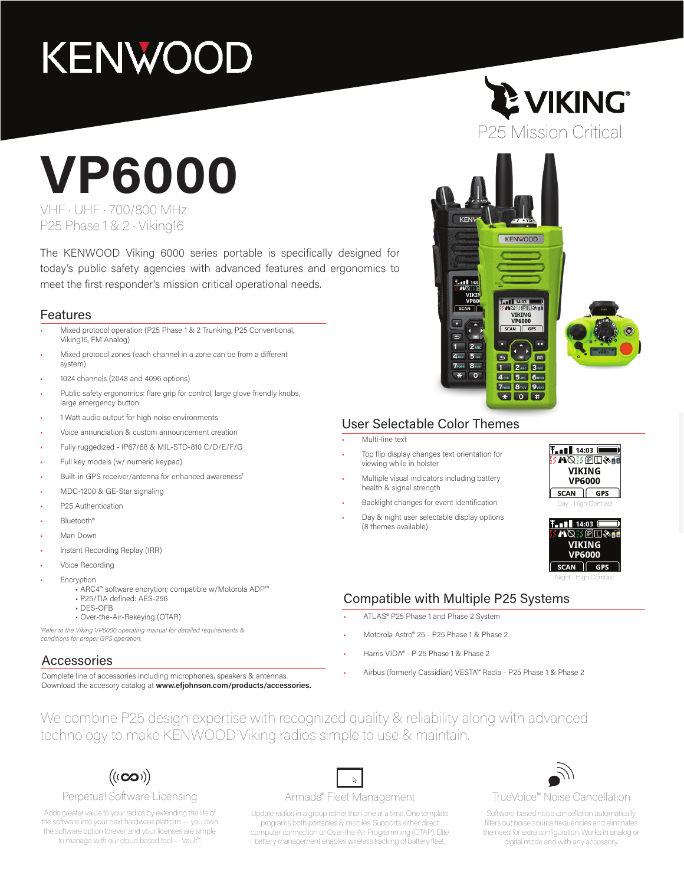## **KENWOOD**

# **VP6000**

VHF • UHF • 700/800 MHz P25 Phase 1 & 2 • Viking16

The KENWOOD Viking 6000 series portable is specifically designed for today's public safety agencies with advanced features and ergonomics to meet the first responder's mission critical operational needs.

#### Features

- Mixed protocol operation (P25 Phase 1 & 2 Trunking, P25 Conventional, Viking16, FM Analog)
- Mixed protocol zones (each channel in a zone can be from a different system)
- 1024 channels (2048 and 4096 options)
- Public safety ergonomics: flare grip for control, large glove friendly knobs, large emergency button
- 1 Watt audio output for high noise environments
- Voice annunciation & custom announcement creation
- Fully ruggedized IP67/68 & MIL-STD-810 C/D/E/F/G
- Full key models (w/ numeric keypad)
- Built-in GPS receiver/antenna for enhanced awareness<sup>1</sup>
- MDC-1200 & GE-Star signaling
- P25 Authentication
- Bluetooth®
- Man Down
- Instant Recording Replay (IRR)
- Voice Recording
- **Encryption** 
	- ARC4™ software encrytion; compatible w/Motorola ADP™
	- P25/TIA defined: AES-256
	- DES-OFB
	- Over-the-Air-Rekeying (OTAR)

*1 Refer to the Viking VP6000 operating manual for detailed requirements & conditions for proper GPS operation.* 

#### Accessories

Complete line of accessories including microphones, speakers & antennas. Download the accesory catalog at **www.efjohnson.com/products/accessories.**





#### User Selectable Color Themes

• Multi-line text

- Top flip display changes text orientation for viewing while in holster
	- Multiple visual indicators including battery health & signal strength
- Backlight changes for event identification
- Day & night user selectable display options (8 themes available)





Night - High Contrast

#### Compatible with Multiple P25 Systems

- ATLAS® P25 Phase 1 and Phase 2 System
- Motorola Astro® 25 P25 Phase 1 & Phase 2
- Harris VIDA® P 25 Phase 1 & Phase 2
- Airbus (formerly Cassidian) VESTA™ Radia P25 Phase 1 & Phase 2

We combine P25 design expertise with recognized quality & reliability along with advanced technology to make KENWOOD Viking radios simple to use & maintain.



#### Perpetual Software Licensing

Adds greater value to your radios by extending the life of the software into your next hardware platform — you own the software option forever, and your licenses are simple to manage with our cloud-based tool — Vault™.

#### $\mathbb{R}$ Armada® Fleet Management

Update radios in a group rather than one at a time. One template programs both portables & mobiles. Supports either direct computer connection or Over-the-Air Programming (OTAP). Elite battery management enables wireless tracking of battery fleet.



#### TrueVoice™ Noise Cancellation

Software-based noise cancellation automatically filters out noise source frequencies and eliminates the need for extra configuration. Works in analog or digital mode and with any accessory.